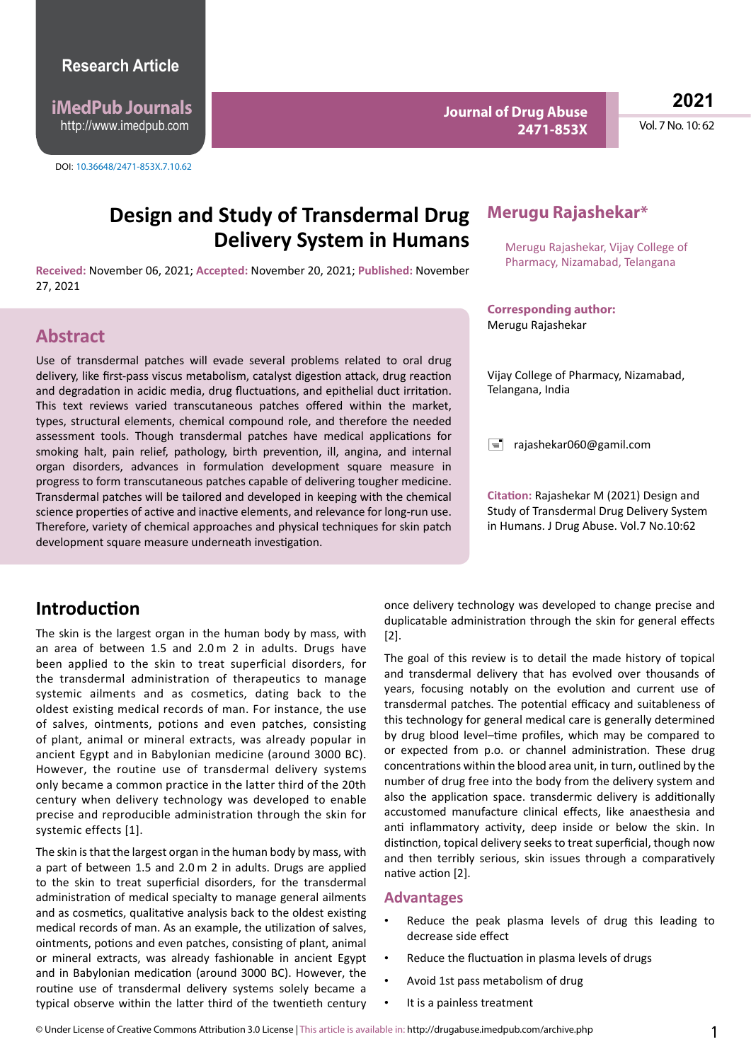**iMedPub Journals** http://www.imedpub.com

DOI: 10.36648/2471-853X.7.10.62

**Journal of Drug Abuse 2471-853X**

**2021**

Vol. 7 No. 10: 62

# **Design and Study of Transdermal Drug Delivery System in Humans**

**Received:** November 06, 2021; **Accepted:** November 20, 2021; **Published:** November 27, 2021

## **Abstract**

Use of transdermal patches will evade several problems related to oral drug delivery, like first-pass viscus metabolism, catalyst digestion attack, drug reaction and degradation in acidic media, drug fluctuations, and epithelial duct irritation. This text reviews varied transcutaneous patches offered within the market, types, structural elements, chemical compound role, and therefore the needed assessment tools. Though transdermal patches have medical applications for smoking halt, pain relief, pathology, birth prevention, ill, angina, and internal organ disorders, advances in formulation development square measure in progress to form transcutaneous patches capable of delivering tougher medicine. Transdermal patches will be tailored and developed in keeping with the chemical science properties of active and inactive elements, and relevance for long-run use. Therefore, variety of chemical approaches and physical techniques for skin patch development square measure underneath investigation.

## **Introduction**

The skin is the largest organ in the human body by mass, with an area of between 1.5 and 2.0 m 2 in adults. Drugs have been applied to the skin to treat superficial disorders, for the transdermal administration of therapeutics to manage systemic ailments and as cosmetics, dating back to the oldest existing medical records of man. For instance, the use of salves, ointments, potions and even patches, consisting of plant, animal or mineral extracts, was already popular in ancient Egypt and in Babylonian medicine (around 3000 BC). However, the routine use of transdermal delivery systems only became a common practice in the latter third of the 20th century when delivery technology was developed to enable precise and reproducible administration through the skin for systemic effects [1].

The skin is that the largest organ in the human body by mass, with a part of between 1.5 and 2.0 m 2 in adults. Drugs are applied to the skin to treat superficial disorders, for the transdermal administration of medical specialty to manage general ailments and as cosmetics, qualitative analysis back to the oldest existing medical records of man. As an example, the utilization of salves, ointments, potions and even patches, consisting of plant, animal or mineral extracts, was already fashionable in ancient Egypt and in Babylonian medication (around 3000 BC). However, the routine use of transdermal delivery systems solely became a typical observe within the latter third of the twentieth century

### **Merugu Rajashekar\***

Merugu Rajashekar, Vijay College of Pharmacy, Nizamabad, Telangana

**Corresponding author:** Merugu Rajashekar

Vijay College of Pharmacy, Nizamabad, Telangana, India

 $\equiv$  [rajashekar060@gamil.com](mailto:Merugurajashekar02@gamil.com)

**Citation:** Rajashekar M (2021) Design and Study of Transdermal Drug Delivery System in Humans. J Drug Abuse. Vol.7 No.10:62

once delivery technology was developed to change precise and duplicatable administration through the skin for general effects [2].

The goal of this review is to detail the made history of topical and transdermal delivery that has evolved over thousands of years, focusing notably on the evolution and current use of transdermal patches. The potential efficacy and suitableness of this technology for general medical care is generally determined by drug blood level–time profiles, which may be compared to or expected from p.o. or channel administration. These drug concentrations within the blood area unit, in turn, outlined by the number of drug free into the body from the delivery system and also the application space. transdermic delivery is additionally accustomed manufacture clinical effects, like anaesthesia and anti inflammatory activity, deep inside or below the skin. In distinction, topical delivery seeks to treat superficial, though now and then terribly serious, skin issues through a comparatively native action [2].

#### **Advantages**

- Reduce the peak plasma levels of drug this leading to decrease side effect
- Reduce the fluctuation in plasma levels of drugs
- Avoid 1st pass metabolism of drug
- It is a painless treatment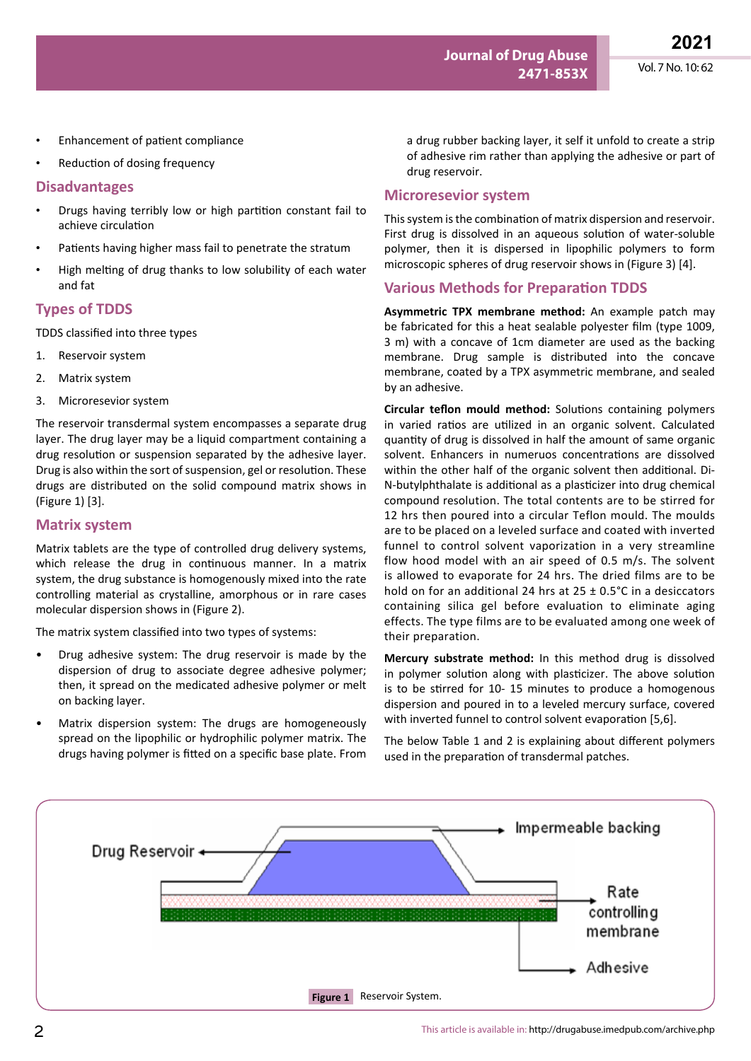- Enhancement of patient compliance
- Reduction of dosing frequency

#### **Disadvantages**

- Drugs having terribly low or high partition constant fail to achieve circulation
- Patients having higher mass fail to penetrate the stratum
- High melting of drug thanks to low solubility of each water and fat

#### **Types of TDDS**

TDDS classified into three types

- 1. Reservoir system
- 2. Matrix system
- 3. Microresevior system

The reservoir transdermal system encompasses a separate drug layer. The drug layer may be a liquid compartment containing a drug resolution or suspension separated by the adhesive layer. Drug is also within the sort of suspension, gel or resolution. These drugs are distributed on the solid compound matrix shows in (Figure 1) [3].

#### **Matrix system**

Matrix tablets are the type of controlled drug delivery systems, which release the drug in continuous manner. In a matrix system, the drug substance is homogenously mixed into the rate controlling material as crystalline, amorphous or in rare cases molecular dispersion shows in (Figure 2).

The matrix system classified into two types of systems:

- Drug adhesive system: The drug reservoir is made by the dispersion of drug to associate degree adhesive polymer; then, it spread on the medicated adhesive polymer or melt on backing layer.
- Matrix dispersion system: The drugs are homogeneously spread on the lipophilic or hydrophilic polymer matrix. The drugs having polymer is fitted on a specific base plate. From

a drug rubber backing layer, it self it unfold to create a strip of adhesive rim rather than applying the adhesive or part of drug reservoir.

#### **Microresevior system**

This system is the combination of matrix dispersion and reservoir. First drug is dissolved in an aqueous solution of water-soluble polymer, then it is dispersed in lipophilic polymers to form microscopic spheres of drug reservoir shows in (Figure 3) [4].

#### **Various Methods for Preparation TDDS**

**Asymmetric TPX membrane method:** An example patch may be fabricated for this a heat sealable polyester film (type 1009, 3 m) with a concave of 1cm diameter are used as the backing membrane. Drug sample is distributed into the concave membrane, coated by a TPX asymmetric membrane, and sealed by an adhesive.

**Circular teflon mould method:** Solutions containing polymers in varied ratios are utilized in an organic solvent. Calculated quantity of drug is dissolved in half the amount of same organic solvent. Enhancers in numeruos concentrations are dissolved within the other half of the organic solvent then additional. Di-N-butylphthalate is additional as a plasticizer into drug chemical compound resolution. The total contents are to be stirred for 12 hrs then poured into a circular Teflon mould. The moulds are to be placed on a leveled surface and coated with inverted funnel to control solvent vaporization in a very streamline flow hood model with an air speed of 0.5 m/s. The solvent is allowed to evaporate for 24 hrs. The dried films are to be hold on for an additional 24 hrs at 25 ± 0.5°C in a desiccators containing silica gel before evaluation to eliminate aging effects. The type films are to be evaluated among one week of their preparation.

**Mercury substrate method:** In this method drug is dissolved in polymer solution along with plasticizer. The above solution is to be stirred for 10- 15 minutes to produce a homogenous dispersion and poured in to a leveled mercury surface, covered with inverted funnel to control solvent evaporation [5,6].

The below Table 1 and 2 is explaining about different polymers used in the preparation of transdermal patches.

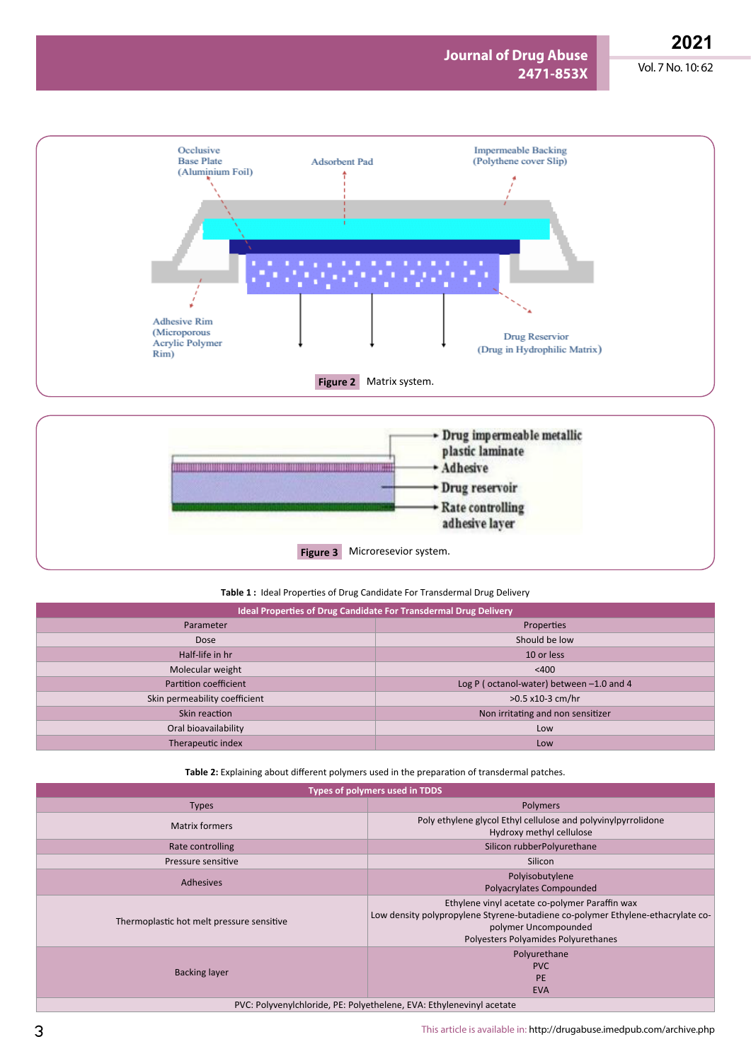# **2021**

Vol. 7 No. 10: 62







| Ideal Properties of Drug Candidate For Transdermal Drug Delivery |                                          |
|------------------------------------------------------------------|------------------------------------------|
| Parameter                                                        | Properties                               |
| Dose                                                             | Should be low                            |
| Half-life in hr                                                  | 10 or less                               |
| Molecular weight                                                 | $<$ 400                                  |
| Partition coefficient                                            | Log P (octanol-water) between -1.0 and 4 |
| Skin permeability coefficient                                    | $>0.5$ x10-3 cm/hr                       |
| Skin reaction                                                    | Non irritating and non sensitizer        |
| Oral bioavailability                                             | Low                                      |
| Therapeutic index                                                | Low                                      |

**Table 2:** Explaining about different polymers used in the preparation of transdermal patches.

**Types of polymers used in TDDS**

| <b>I</b> ypes of polymers used in TDDS    |                                                                                                                                                                                                  |
|-------------------------------------------|--------------------------------------------------------------------------------------------------------------------------------------------------------------------------------------------------|
| <b>Types</b>                              | Polymers                                                                                                                                                                                         |
| <b>Matrix formers</b>                     | Poly ethylene glycol Ethyl cellulose and polyvinylpyrrolidone<br>Hydroxy methyl cellulose                                                                                                        |
| Rate controlling                          | Silicon rubberPolyurethane                                                                                                                                                                       |
| Pressure sensitive                        | Silicon                                                                                                                                                                                          |
| <b>Adhesives</b>                          | Polyisobutylene<br>Polyacrylates Compounded                                                                                                                                                      |
| Thermoplastic hot melt pressure sensitive | Ethylene vinyl acetate co-polymer Paraffin wax<br>Low density polypropylene Styrene-butadiene co-polymer Ethylene-ethacrylate co-<br>polymer Uncompounded<br>Polyesters Polyamides Polyurethanes |
| <b>Backing layer</b>                      | Polyurethane<br><b>PVC</b><br><b>PE</b><br><b>EVA</b>                                                                                                                                            |

PVC: Polyvenylchloride, PE: Polyethelene, EVA: Ethylenevinyl acetate